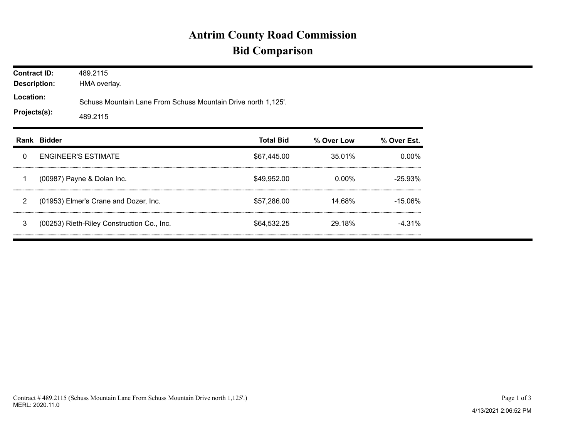## **Antrim County Road Commission Bid Comparison**

| <b>Contract ID:</b><br><b>Description:</b><br>Location:<br>Projects(s): |             | 489.2115<br>HMA overlay.                                                  |                  |            |             |  |  |  |
|-------------------------------------------------------------------------|-------------|---------------------------------------------------------------------------|------------------|------------|-------------|--|--|--|
|                                                                         |             | Schuss Mountain Lane From Schuss Mountain Drive north 1,125'.<br>489.2115 |                  |            |             |  |  |  |
|                                                                         | Rank Bidder |                                                                           | <b>Total Bid</b> | % Over Low | % Over Est. |  |  |  |
| 0                                                                       |             | <b>ENGINEER'S ESTIMATE</b>                                                | \$67,445.00      | 35.01%     | $0.00\%$    |  |  |  |
| 1                                                                       |             | (00987) Payne & Dolan Inc.                                                | \$49,952.00      | 0.00%      | $-25.93%$   |  |  |  |
| 2                                                                       |             | (01953) Elmer's Crane and Dozer, Inc.                                     | \$57,286,00      | 14.68%     | $-15.06\%$  |  |  |  |
| 3                                                                       |             | (00253) Rieth-Riley Construction Co., Inc.                                | \$64,532.25      | 29.18%     | $-4.31%$    |  |  |  |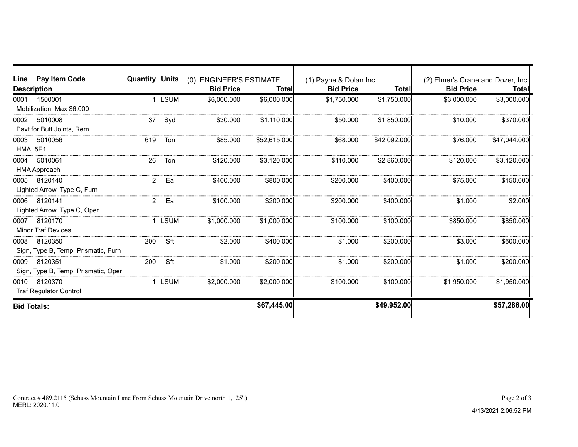| Pay Item Code<br>Line<br><b>Description</b>            | <b>Quantity Units</b> |        | (0) ENGINEER'S ESTIMATE<br><b>Bid Price</b> | Total        | (1) Payne & Dolan Inc.<br><b>Bid Price</b> | <b>Total</b> | (2) Elmer's Crane and Dozer, Inc.<br><b>Bid Price</b> | Total        |
|--------------------------------------------------------|-----------------------|--------|---------------------------------------------|--------------|--------------------------------------------|--------------|-------------------------------------------------------|--------------|
| 1500001<br>0001<br>Mobilization, Max \$6,000           |                       | 1 LSUM | \$6,000.000                                 | \$6,000.000  | \$1,750.000                                | \$1,750.000  | \$3,000.000                                           | \$3,000.000  |
| 0002<br>5010008<br>Pavt for Butt Joints, Rem           | 37                    | Syd    | \$30.000                                    | \$1,110.000  | \$50.000                                   | \$1,850.000  | \$10.000                                              | \$370.000    |
| 0003<br>5010056<br><b>HMA, 5E1</b>                     | 619                   | Ton    | \$85.000                                    | \$52,615.000 | \$68,000                                   | \$42,092.000 | \$76.000                                              | \$47,044.000 |
| 5010061<br>0004<br>HMA Approach                        | 26                    | Ton    | \$120.000                                   | \$3,120.000  | \$110,000                                  | \$2,860.000  | \$120,000                                             | \$3,120.000  |
| 8120140<br>0005<br>Lighted Arrow, Type C, Furn         | $\overline{2}$        | Ea     | \$400.000                                   | \$800.000    | \$200,000                                  | \$400.000    | \$75,000                                              | \$150.000    |
| 0006<br>8120141<br>Lighted Arrow, Type C, Oper         | $\mathbf{2}^{\circ}$  | Ea     | \$100.000                                   | \$200.000    | \$200.000                                  | \$400.000    | \$1,000                                               | \$2.000      |
| 0007<br>8120170<br><b>Minor Traf Devices</b>           |                       | 1 LSUM | \$1,000.000                                 | \$1,000.000  | \$100.000                                  | \$100.000    | \$850,000                                             | \$850.000    |
| 8120350<br>0008<br>Sign, Type B, Temp, Prismatic, Furn | 200                   | Sft    | \$2.000                                     | \$400.000    | \$1.000                                    | \$200.000    | \$3.000                                               | \$600.000    |
| 8120351<br>0009<br>Sign, Type B, Temp, Prismatic, Oper | 200                   | Sft    | \$1.000                                     | \$200.000    | \$1.000                                    | \$200.000    | \$1.000                                               | \$200.000    |
| 8120370<br>0010<br><b>Traf Regulator Control</b>       |                       | 1 LSUM | \$2,000.000                                 | \$2,000,000  | \$100.000                                  | \$100.000    | \$1,950.000                                           | \$1,950.000  |
| <b>Bid Totals:</b>                                     |                       |        |                                             | \$67,445.00  |                                            | \$49,952.00  |                                                       | \$57,286.00  |